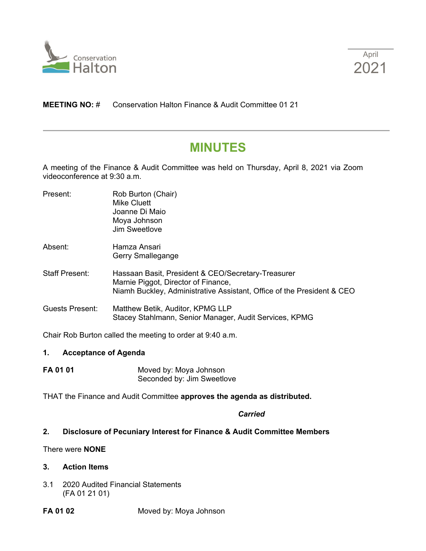



# **MEETING NO:** # Conservation Halton Finance & Audit Committee 01 21

# **MINUTES**

A meeting of the Finance & Audit Committee was held on Thursday, April 8, 2021 via Zoom videoconference at 9:30 a.m.

| Present:               | Rob Burton (Chair)<br>Mike Cluett<br>Joanne Di Maio<br>Moya Johnson<br>Jim Sweetlove                                                                                |
|------------------------|---------------------------------------------------------------------------------------------------------------------------------------------------------------------|
| Absent:                | Hamza Ansari<br>Gerry Smallegange                                                                                                                                   |
| <b>Staff Present:</b>  | Hassaan Basit, President & CEO/Secretary-Treasurer<br>Marnie Piggot, Director of Finance,<br>Niamh Buckley, Administrative Assistant, Office of the President & CEO |
| <b>Guests Present:</b> | Matthew Betik, Auditor, KPMG LLP<br>Stacey Stahlmann, Senior Manager, Audit Services, KPMG                                                                          |

Chair Rob Burton called the meeting to order at 9:40 a.m.

#### **1. Acceptance of Agenda**

**FA 01 01** Moved by: Moya Johnson Seconded by: Jim Sweetlove

THAT the Finance and Audit Committee **approves the agenda as distributed.**

# *Carried*

#### **2. Disclosure of Pecuniary Interest for Finance & Audit Committee Members**

# There were **NONE**

#### **3. Action Items**

3.1 2020 Audited Financial Statements (FA 01 21 01)

# **FA 01 02** Moved by: Moya Johnson